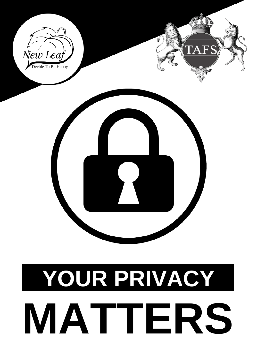

# **YOUR PRIVACY MATTERS**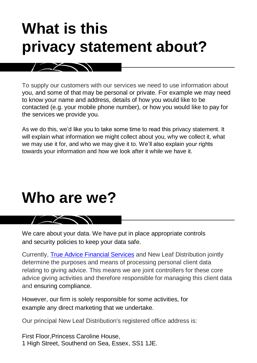# **What is this privacy statement about?**

To supply our customers with our services we need to use information about you, and some of that may be personal or private. For example we may need to know your name and address, details of how you would like to be contacted (e.g. your mobile phone number), or how you would like to pay for the services we provide you.

As we do this, we'd like you to take some time to read this privacy statement. It will explain what information we might collect about you, why we collect it, what we may use it for, and who we may give it to. We'll also explain your rights towards your information and how we look after it while we have it.

### **Who are we?**

 $\sim$   $\sim$   $\sim$   $\sim$   $\sim$ 

We care about your data. We have put in place appropriate controls and security policies to keep your data safe.

Currently, [True Advice Financial Services](https://trueadvicefinancialservices.co.uk/) and New Leaf Distribution jointly determine the purposes and means of processing personal client data relating to giving advice. This means we are joint controllers for these core advice giving activities and therefore responsible for managing this client data and ensuring compliance.

However, our firm is solely responsible for some activities, for example any direct marketing that we undertake.

Our principal New Leaf Distribution's registered office address is:

First Floor,Princess Caroline House, 1 High Street, Southend on Sea, Essex, SS1 1JE.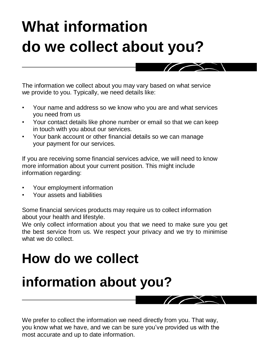# **What information do we collect about you?**

The information we collect about you may vary based on what service we provide to you. Typically, we need details like:

- Your name and address so we know who you are and what services you need from us
- Your contact details like phone number or email so that we can keep in touch with you about our services.
- Your bank account or other financial details so we can manage your payment for our services.

If you are receiving some financial services advice, we will need to know more information about your current position. This might include information regarding:

- Your employment information
- Your assets and liabilities

Some financial services products may require us to collect information about your health and lifestyle.

We only collect information about you that we need to make sure you get the best service from us. We respect your privacy and we try to minimise what we do collect.

### **How do we collect**

### **information about you?**

We prefer to collect the information we need directly from you. That way, you know what we have, and we can be sure you've provided us with the most accurate and up to date information.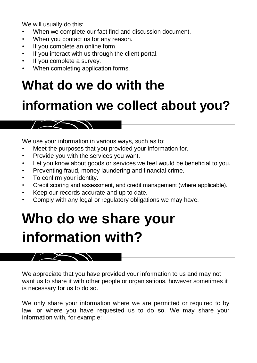We will usually do this:

- When we complete our fact find and discussion document.
- When you contact us for any reason.
- If you complete an online form.
- If you interact with us through the client portal.
- If you complete a survey.
- When completing application forms.

### **What do we do with the**

### **information we collect about you?**

We use your information in various ways, such as to:

- Meet the purposes that you provided your information for.
- Provide you with the services you want.
- Let you know about goods or services we feel would be beneficial to you.
- Preventing fraud, money laundering and financial crime.
- To confirm your identity.

 $\sqrt{2}$ 

- Credit scoring and assessment, and credit management (where applicable).
- Keep our records accurate and up to date.
- Comply with any legal or regulatory obligations we may have.

### **Who do we share your information with?**

 $\sqrt{2}$ 

We appreciate that you have provided your information to us and may not want us to share it with other people or organisations, however sometimes it is necessary for us to do so.

We only share your information where we are permitted or required to by law, or where you have requested us to do so. We may share your information with, for example: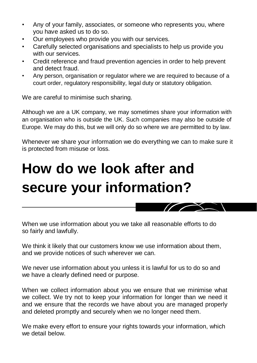- Any of your family, associates, or someone who represents you, where you have asked us to do so.
- Our employees who provide you with our services.
- Carefully selected organisations and specialists to help us provide you with our services.
- Credit reference and fraud prevention agencies in order to help prevent and detect fraud.
- Any person, organisation or regulator where we are required to because of a court order, regulatory responsibility, legal duty or statutory obligation.

We are careful to minimise such sharing.

Although we are a UK company, we may sometimes share your information with an organisation who is outside the UK. Such companies may also be outside of Europe. We may do this, but we will only do so where we are permitted to by law.

Whenever we share your information we do everything we can to make sure it is protected from misuse or loss.

# **How do we look after and secure your information?**

When we use information about you we take all reasonable efforts to do so fairly and lawfully.

We think it likely that our customers know we use information about them, and we provide notices of such wherever we can.

We never use information about you unless it is lawful for us to do so and we have a clearly defined need or purpose.

When we collect information about you we ensure that we minimise what we collect. We try not to keep your information for longer than we need it and we ensure that the records we have about you are managed properly and deleted promptly and securely when we no longer need them.

We make every effort to ensure your rights towards your information, which we detail below.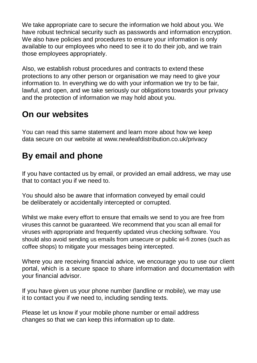We take appropriate care to secure the information we hold about you. We have robust technical security such as passwords and information encryption. We also have policies and procedures to ensure your information is only available to our employees who need to see it to do their job, and we train those employees appropriately.

Also, we establish robust procedures and contracts to extend these protections to any other person or organisation we may need to give your information to. In everything we do with your information we try to be fair, lawful, and open, and we take seriously our obligations towards your privacy and the protection of information we may hold about you.

#### **On our websites**

You can read this same statement and learn more about how we keep data secure on our website at [www.newleafdistribution.co.uk/privacy](www.newleafdistribution.co.uk/privacy.asp)

#### **By email and phone**

If you have contacted us by email, or provided an email address, we may use that to contact you if we need to.

You should also be aware that information conveyed by email could be deliberately or accidentally intercepted or corrupted.

Whilst we make every effort to ensure that emails we send to you are free from viruses this cannot be guaranteed. We recommend that you scan all email for viruses with appropriate and frequently updated virus checking software. You should also avoid sending us emails from unsecure or public wi-fi zones (such as coffee shops) to mitigate your messages being intercepted.

Where you are receiving financial advice, we encourage you to use our client portal, which is a secure space to share information and documentation with your financial advisor.

If you have given us your phone number (landline or mobile), we may use it to contact you if we need to, including sending texts.

Please let us know if your mobile phone number or email address changes so that we can keep this information up to date.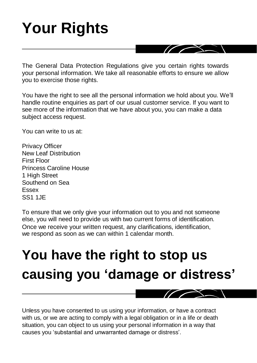# **Your Rights**

The General Data Protection Regulations give you certain rights towards your personal information. We take all reasonable efforts to ensure we allow you to exercise those rights.

You have the right to see all the personal information we hold about you. We'll handle routine enquiries as part of our usual customer service. If you want to see more of the information that we have about you, you can make a data subject access request.

You can write to us at:

Privacy Officer New Leaf Distribution First Floor Princess Caroline House 1 High Street Southend on Sea Essex SS1 1JE

To ensure that we only give your information out to you and not someone else, you will need to provide us with two current forms of identification. Once we receive your written request, any clarifications, identification, we respond as soon as we can within 1 calendar month.

### **You have the right to stop us causing you 'damage or distress'**

Unless you have consented to us using your information, or have a contract with us, or we are acting to comply with a legal obligation or in a life or death situation, you can object to us using your personal information in a way that causes you 'substantial and unwarranted damage or distress'.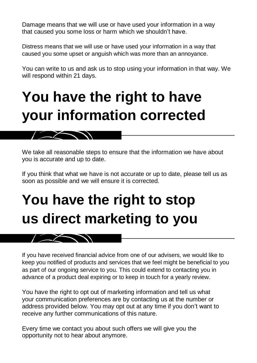Damage means that we will use or have used your information in a way that caused you some loss or harm which we shouldn't have.

Distress means that we will use or have used your information in a way that caused you some upset or anguish which was more than an annoyance.

You can write to us and ask us to stop using your information in that way. We will respond within 21 days.

### **You have the right to have your information corrected**

We take all reasonable steps to ensure that the information we have about you is accurate and up to date.

If you think that what we have is not accurate or up to date, please tell us as soon as possible and we will ensure it is corrected.

# **You have the right to stop us direct marketing to you**

If you have received financial advice from one of our advisers, we would like to keep you notified of products and services that we feel might be beneficial to you as part of our ongoing service to you. This could extend to contacting you in advance of a product deal expiring or to keep in touch for a yearly review.

You have the right to opt out of marketing information and tell us what your communication preferences are by contacting us at the number or address provided below. You may opt out at any time if you don't want to receive any further communications of this nature.

Every time we contact you about such offers we will give you the opportunity not to hear about anymore.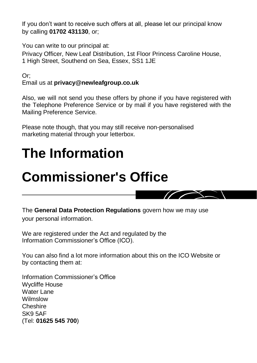If you don't want to receive such offers at all, please let our principal know by calling **01702 431130**, or;

You can write to our principal at:

Privacy Officer, New Leaf Distribution, 1st Floor Princess Caroline House, 1 High Street, Southend on Sea, Essex, SS1 1JE

Or; Email us at **privacy@newleafgroup.co.uk**

Also, we will not send you these offers by phone if you have registered with the Telephone Preference Service or by mail if you have registered with the Mailing Preference Service.

Please note though, that you may still receive non-personalised marketing material through your letterbox.

### **The Information**

### **Commissioner's Office**



The **General Data Protection Regulations** govern how we may use your personal information.

We are registered under the Act and regulated by the Information Commissioner's Office (ICO).

You can also find a lot more information about this on the ICO Website or by contacting them at:

Information Commissioner's Office Wycliffe House Water Lane Wilmslow Cheshire SK9 5AF (Tel: **01625 545 700**)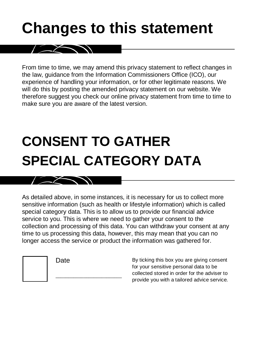## **Changes to this statement**

From time to time, we may amend this privacy statement to reflect changes in the law, guidance from the Information Commissioners Office (ICO), our experience of handling your information, or for other legitimate reasons. We will do this by posting the amended privacy statement on our website. We therefore suggest you check our online privacy statement from time to time to make sure you are aware of the latest version.

# **CONSENT TO GATHER SPECIAL CATEGORY DATA**

As detailed above, in some instances, it is necessary for us to collect more sensitive information (such as health or lifestyle information) which is called special category data. This is to allow us to provide our financial advice service to you. This is where we need to gather your consent to the collection and processing of this data. You can withdraw your consent at any time to us processing this data, however, this may mean that you can no longer access the service or product the information was gathered for.

Date

 $\frac{1}{2}$  ,  $\frac{1}{2}$  ,  $\frac{1}{2}$  ,  $\frac{1}{2}$  ,  $\frac{1}{2}$  ,  $\frac{1}{2}$  ,  $\frac{1}{2}$  ,  $\frac{1}{2}$  ,  $\frac{1}{2}$  ,  $\frac{1}{2}$  ,  $\frac{1}{2}$  ,  $\frac{1}{2}$  ,  $\frac{1}{2}$  ,  $\frac{1}{2}$  ,  $\frac{1}{2}$  ,  $\frac{1}{2}$  ,  $\frac{1}{2}$  ,  $\frac{1}{2}$  ,  $\frac{1$ 

By ticking this box you are giving consent for your sensitive personal data to be collected stored in order for the adviser to provide you with a tailored advice service.